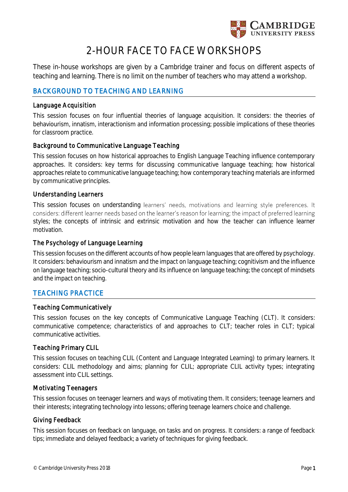

# **2-HOUR FACE TO FACE WORKSHOPS**

These in-house workshops are given by a Cambridge trainer and focus on different aspects of teaching and learning. There is no limit on the number of teachers who may attend a workshop.

# **BACKGROUND TO TEACHING AND LEARNING**

## **Language Acquisition**

This session focuses on four influential theories of language acquisition. It considers: the theories of behaviourism, innatism, interactionism and information processing; possible implications of these theories for classroom practice.

# **Background to Communicative Language Teaching**

This session focuses on how historical approaches to English Language Teaching influence contemporary approaches. It considers: key terms for discussing communicative language teaching; how historical approaches relate to communicative language teaching; how contemporary teaching materials are informed by communicative principles.

## **Understanding Learners**

This session focuses on understanding learners' needs, motivations and learning style preferences. It considers: different learner needs based on the learner's reason for learning; the impact of preferred learning styles; the concepts of intrinsic and extrinsic motivation and how the teacher can influence learner motivation.

# **The Psychology of Language Learning**

This session focuses on the different accounts of how people learn languages that are offered by psychology. It considers: behaviourism and innatism and the impact on language teaching; cognitivism and the influence on language teaching; socio-cultural theory and its influence on language teaching; the concept of mindsets and the impact on teaching.

# **TEACHING PRACTICE**

#### **Teaching Communicatively**

This session focuses on the key concepts of Communicative Language Teaching (CLT). It considers: communicative competence; characteristics of and approaches to CLT; teacher roles in CLT; typical communicative activities.

# **Teaching Primary CLIL**

This session focuses on teaching CLIL (Content and Language Integrated Learning) to primary learners. It considers: CLIL methodology and aims; planning for CLIL; appropriate CLIL activity types; integrating assessment into CLIL settings.

#### **Motivating Teenagers**

This session focuses on teenager learners and ways of motivating them. It considers; teenage learners and their interests; integrating technology into lessons; offering teenage learners choice and challenge.

#### **Giving Feedback**

This session focuses on feedback on language, on tasks and on progress. It considers: a range of feedback tips; immediate and delayed feedback; a variety of techniques for giving feedback.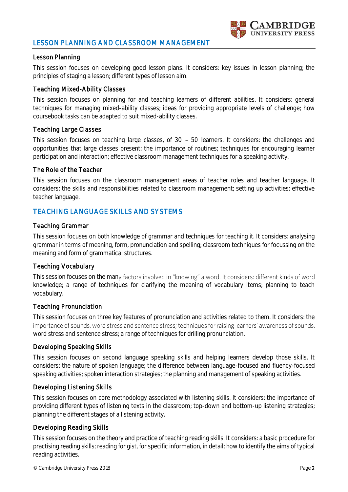# **LESSON PLANNING AND CLASSROOM MANAGEMENT**



## **Lesson Planning**

This session focuses on developing good lesson plans. It considers: key issues in lesson planning; the principles of staging a lesson; different types of lesson aim.

#### **Teaching Mixed-Ability Classes**

This session focuses on planning for and teaching learners of different abilities. It considers: general techniques for managing mixed-ability classes; ideas for providing appropriate levels of challenge; how coursebook tasks can be adapted to suit mixed-ability classes.

## **Teaching Large Classes**

This session focuses on teaching large classes, of  $30 - 50$  learners. It considers: the challenges and opportunities that large classes present; the importance of routines; techniques for encouraging learner participation and interaction; effective classroom management techniques for a speaking activity.

## **The Role of the Teacher**

This session focuses on the classroom management areas of teacher roles and teacher language. It considers: the skills and responsibilities related to classroom management; setting up activities; effective teacher language.

# **TEACHING LANGUAGE SKILLS AND SYSTEMS**

#### **Teaching Grammar**

This session focuses on both knowledge of grammar and techniques for teaching it. It considers: analysing grammar in terms of meaning, form, pronunciation and spelling; classroom techniques for focussing on the meaning and form of grammatical structures.

# **Teaching Vocabulary**

This session focuses on the many factors involved in "knowing" a word. It considers: different kinds of word knowledge; a range of techniques for clarifying the meaning of vocabulary items; planning to teach vocabulary.

#### **Teaching Pronunciation**

This session focuses on three key features of pronunciation and activities related to them. It considers: the importance of sounds, word stress and sentence stress; techniques for raising learners' awareness of sounds, word stress and sentence stress; a range of techniques for drilling pronunciation.

#### **Developing Speaking Skills**

This session focuses on second language speaking skills and helping learners develop those skills. It considers: the nature of spoken language; the difference between language-focused and fluency-focused speaking activities; spoken interaction strategies; the planning and management of speaking activities.

#### **Developing Listening Skills**

This session focuses on core methodology associated with listening skills. It considers: the importance of providing different types of listening texts in the classroom; top-down and bottom-up listening strategies; planning the different stages of a listening activity.

# **Developing Reading Skills**

This session focuses on the theory and practice of teaching reading skills. It considers: a basic procedure for practising reading skills; reading for gist, for specific information, in detail; how to identify the aims of typical reading activities.